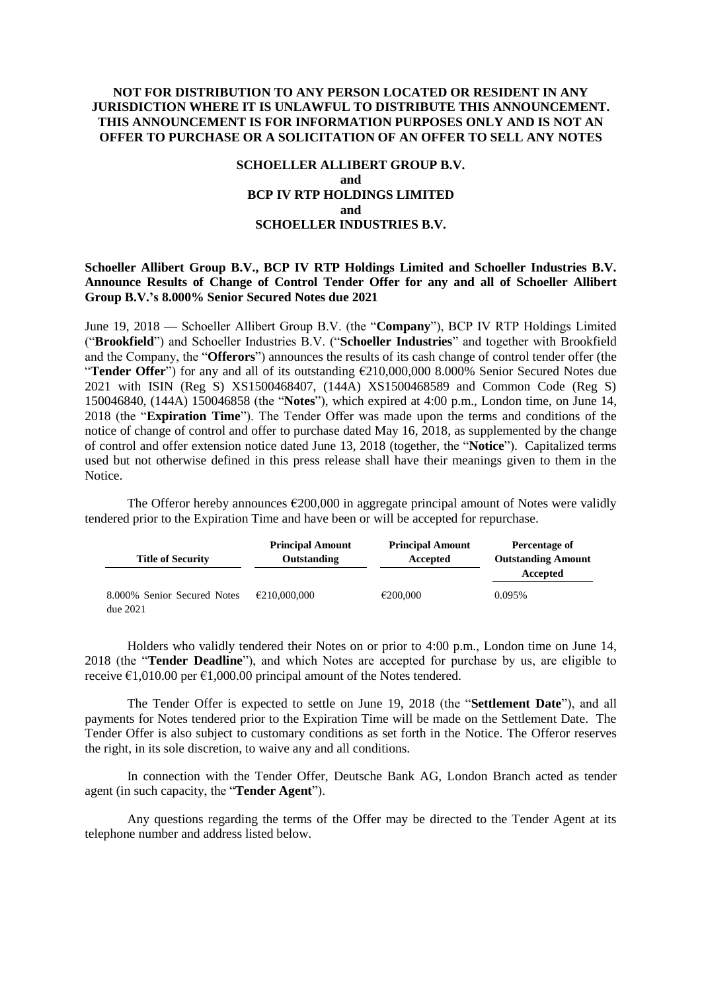## **NOT FOR DISTRIBUTION TO ANY PERSON LOCATED OR RESIDENT IN ANY JURISDICTION WHERE IT IS UNLAWFUL TO DISTRIBUTE THIS ANNOUNCEMENT. THIS ANNOUNCEMENT IS FOR INFORMATION PURPOSES ONLY AND IS NOT AN OFFER TO PURCHASE OR A SOLICITATION OF AN OFFER TO SELL ANY NOTES**

# **SCHOELLER ALLIBERT GROUP B.V. and BCP IV RTP HOLDINGS LIMITED and SCHOELLER INDUSTRIES B.V.**

## **Schoeller Allibert Group B.V., BCP IV RTP Holdings Limited and Schoeller Industries B.V. Announce Results of Change of Control Tender Offer for any and all of Schoeller Allibert Group B.V.'s 8.000% Senior Secured Notes due 2021**

June 19, 2018 — Schoeller Allibert Group B.V. (the "**Company**"), BCP IV RTP Holdings Limited ("**Brookfield**") and Schoeller Industries B.V. ("**Schoeller Industries**" and together with Brookfield and the Company, the "**Offerors**") announces the results of its cash change of control tender offer (the "**Tender Offer**") for any and all of its outstanding €210,000,000 8.000% Senior Secured Notes due 2021 with ISIN (Reg S) XS1500468407, (144A) XS1500468589 and Common Code (Reg S) 150046840, (144A) 150046858 (the "**Notes**"), which expired at 4:00 p.m., London time, on June 14, 2018 (the "**Expiration Time**"). The Tender Offer was made upon the terms and conditions of the notice of change of control and offer to purchase dated May 16, 2018, as supplemented by the change of control and offer extension notice dated June 13, 2018 (together, the "**Notice**"). Capitalized terms used but not otherwise defined in this press release shall have their meanings given to them in the Notice.

The Offeror hereby announces  $\epsilon$ 200,000 in aggregate principal amount of Notes were validly tendered prior to the Expiration Time and have been or will be accepted for repurchase.

| <b>Title of Security</b>                | <b>Principal Amount</b><br>Outstanding | <b>Principal Amount</b><br>Accepted | Percentage of<br><b>Outstanding Amount</b> |
|-----------------------------------------|----------------------------------------|-------------------------------------|--------------------------------------------|
|                                         |                                        |                                     | Accepted                                   |
| 8.000% Senior Secured Notes<br>due~2021 | €210,000,000                           | €200,000                            | 0.095%                                     |

Holders who validly tendered their Notes on or prior to 4:00 p.m., London time on June 14, 2018 (the "**Tender Deadline**"), and which Notes are accepted for purchase by us, are eligible to receive  $\epsilon$ 1,010.00 per  $\epsilon$ 1,000.00 principal amount of the Notes tendered.

The Tender Offer is expected to settle on June 19, 2018 (the "**Settlement Date**"), and all payments for Notes tendered prior to the Expiration Time will be made on the Settlement Date. The Tender Offer is also subject to customary conditions as set forth in the Notice. The Offeror reserves the right, in its sole discretion, to waive any and all conditions.

In connection with the Tender Offer, Deutsche Bank AG, London Branch acted as tender agent (in such capacity, the "**Tender Agent**").

Any questions regarding the terms of the Offer may be directed to the Tender Agent at its telephone number and address listed below.